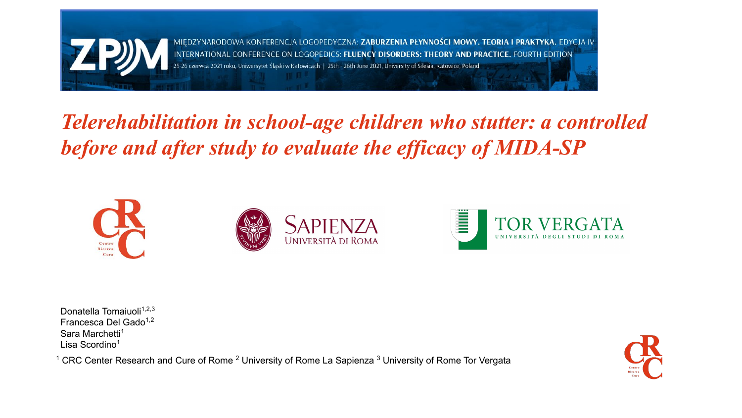

MIĘDZYNARODOWA KONFERENCJA LOGOPEDYCZNA: **ZABURZENIA PŁYNNOŚCI MOWY. TEORIA I PRAKTYKA.** EDYCJA IV INTERNATIONAL CONFERENCE ON LOGOPEDICS: FLUENCY DISORDERS: THEORY AND PRACTICE. FOURTH EDITION 25-26 czerwca 2021 roku, Uniwersytet Śląski w Katowicach | 25th - 26th June 2021, University of Silesia, Katowice, Poland

## *Telerehabilitation in school-age children who stutter: a controlled before and after study to evaluate the efficacy of MIDA-SP*







Donatella Tomaiuoli $1,2,3$ Francesca Del Gado<sup>1,2</sup> Sara Marchetti<sup>1</sup> Lisa Scordino<sup>1</sup>

<sup>1</sup> CRC Center Research and Cure of Rome <sup>2</sup> University of Rome La Sapienza <sup>3</sup> University of Rome Tor Vergata

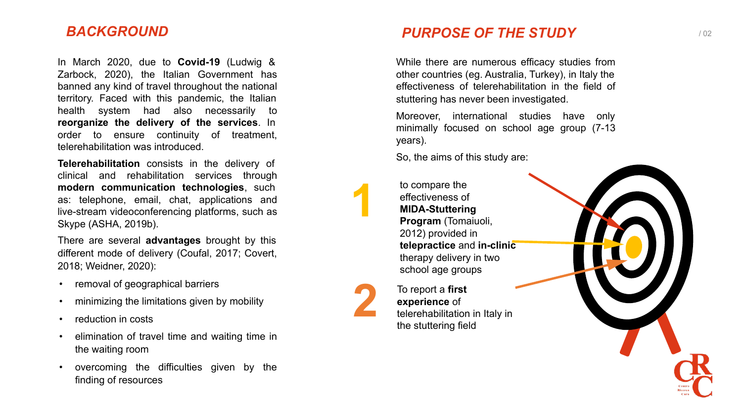In March 2020, due to **Covid-19** (Ludwig & Zarbock, 2020), the Italian Government has banned any kind of travel throughout the national territory. Faced with this pandemic, the Italian health system had also necessarily to **reorganize the delivery of the services**. In order to ensure continuity of treatment, telerehabilitation was introduced.

**Telerehabilitation** consists in the delivery of clinical and rehabilitation services through **modern communication technologies**, such as: telephone, email, chat, applications and live-stream videoconferencing platforms, such as Skype (ASHA, 2019b).

There are several **advantages** brought by this different mode of delivery (Coufal, 2017; Covert, 2018; Weidner, 2020):

- removal of geographical barriers
- minimizing the limitations given by mobility
- 
- reduction in costs<br>• elimination of travel time and waiting time in the waiting room
- overcoming the difficulties given by the finding of resources

#### **BACKGROUND DESCROUND PURPOSE OF THE STUDY** THE STUDY

While there are numerous efficacy studies from other countries (eg. Australia, Turkey), in Italy the effectiveness of telerehabilitation in the field of stuttering has never been investigated.

Moreover, international studies have only minimally focused on school age group (7-13 years).

So, the aims of this study are:

to compare the effectiveness of **MIDA-Stuttering Program** (Tomaiuoli, 2012) provided in **telepractice** and **in-clinic** therapy delivery in two school age groups

To report a **first experience** of telerehabilitation in Italy in the stuttering field

**12**

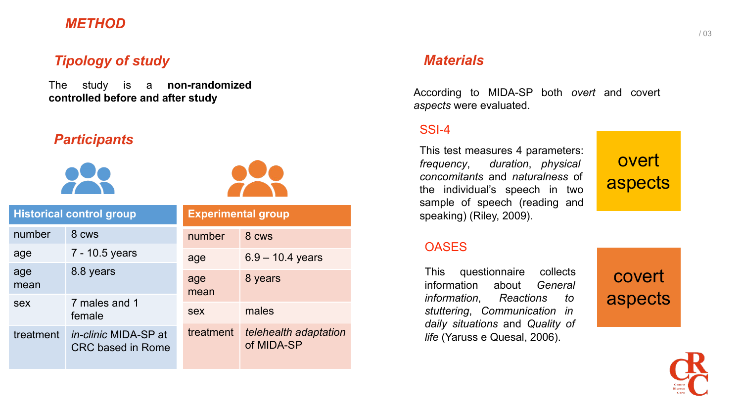#### *METHOD*

#### *Tipology of study*

The study is a **non-randomized controlled before and after study**

#### *Participants*





| <b>Historical control group</b> |                                                  | <b>Experimental group</b> |                                     |
|---------------------------------|--------------------------------------------------|---------------------------|-------------------------------------|
| number                          | 8 cws                                            | number                    | 8 CWS                               |
| age                             | 7 - 10.5 years                                   | age                       | $6.9 - 10.4$ years                  |
| age<br>mean                     | 8.8 years                                        | age<br>mean               | 8 years                             |
| sex                             | 7 males and 1<br>female                          | sex                       | males                               |
| treatment                       | in-clinic MIDA-SP at<br><b>CRC based in Rome</b> | treatment                 | telehealth adaptation<br>of MIDA-SP |

#### *Materials*

According to MIDA-SP both *overt* and covert *aspects* were evaluated.

#### SSI-4

This test measures 4 parameters: *frequency*, *duration*, *physical concomitants* and *naturalness* of the individual's speech in two sample of speech (reading and speaking) (Riley, 2009).

### **OASES**

This questionnaire collects information about *General information*, *Reactions to stuttering*, *Communication in daily situations* and *Quality of life* (Yaruss e Quesal, 2006).





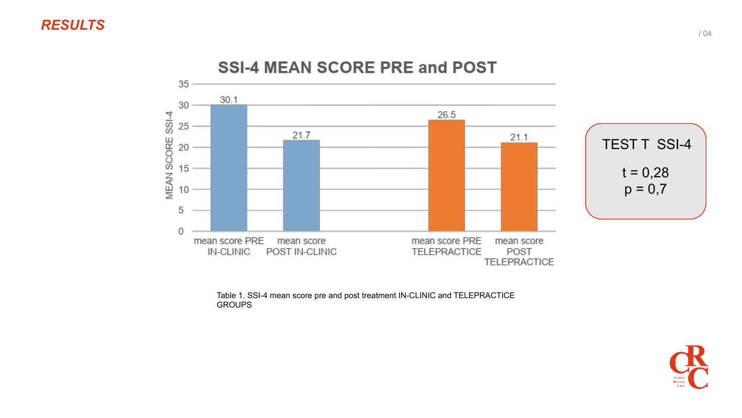

**SSI-4 MEAN SCORE PRE and POST** 

Table 1. SSI-4 mean score pre and post treatment IN-CLINIC and TELEPRACTICE **GROUPS** 

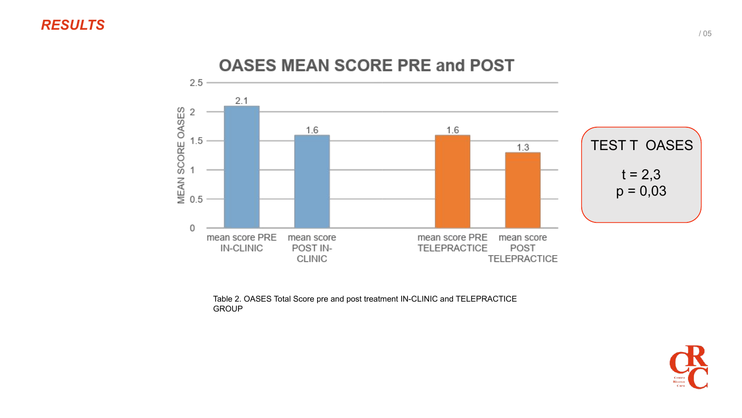

**OASES MEAN SCORE PRE and POST** 

Table 2. OASES Total Score pre and post treatment IN-CLINIC and TELEPRACTICE **GROUP** 

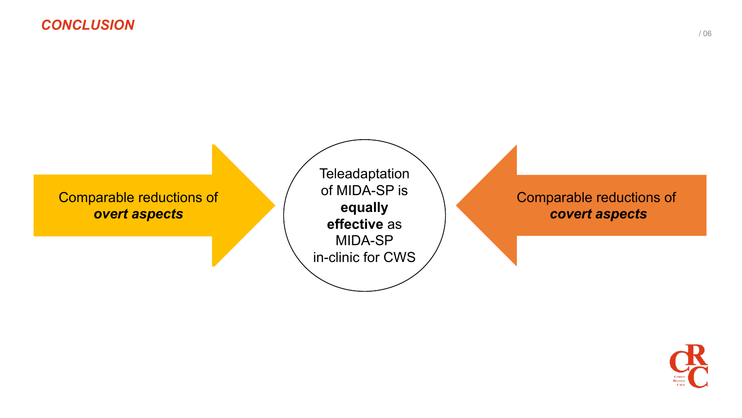

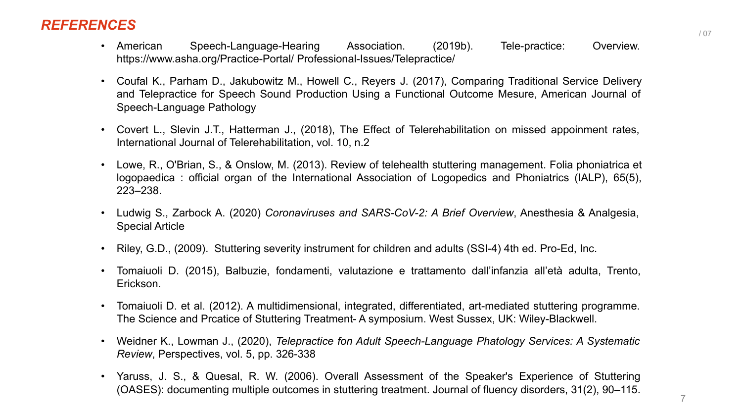#### *REFERENCES*

- American Speech-Language-Hearing Association. (2019b). Tele-practice: Overview. https://www.asha.org/Practice-Portal/ Professional-Issues/Telepractice/
- Coufal K., Parham D., Jakubowitz M., Howell C., Reyers J. (2017), Comparing Traditional Service Delivery and Telepractice for Speech Sound Production Using a Functional Outcome Mesure, American Journal of Speech-Language Pathology
- Covert L., Slevin J.T., Hatterman J., (2018), The Effect of Telerehabilitation on missed appoinment rates, International Journal of Telerehabilitation, vol. 10, n.2
- Lowe, R., O'Brian, S., & Onslow, M. (2013). Review of telehealth stuttering management. Folia phoniatrica et logopaedica : official organ of the International Association of Logopedics and Phoniatrics (IALP), 65(5), 223–238.
- Ludwig S., Zarbock A. (2020) *Coronaviruses and SARS-CoV-2: A Brief Overview*, Anesthesia & Analgesia, Special Article
- Riley, G.D., (2009). Stuttering severity instrument for children and adults (SSI-4) 4th ed. Pro-Ed, Inc.
- Tomaiuoli D. (2015), Balbuzie, fondamenti, valutazione e trattamento dall'infanzia all'età adulta, Trento, Erickson.
- Tomaiuoli D. et al. (2012). A multidimensional, integrated, differentiated, art-mediated stuttering programme. The Science and Prcatice of Stuttering Treatment- A symposium. West Sussex, UK: Wiley-Blackwell.
- Weidner K., Lowman J., (2020), *Telepractice fon Adult Speech-Language Phatology Services: A Systematic Review*, Perspectives, vol. 5, pp. 326-338
- Yaruss, J. S., & Quesal, R. W. (2006). Overall Assessment of the Speaker's Experience of Stuttering (OASES): documenting multiple outcomes in stuttering treatment. Journal of fluency disorders, 31(2), 90–115.

7